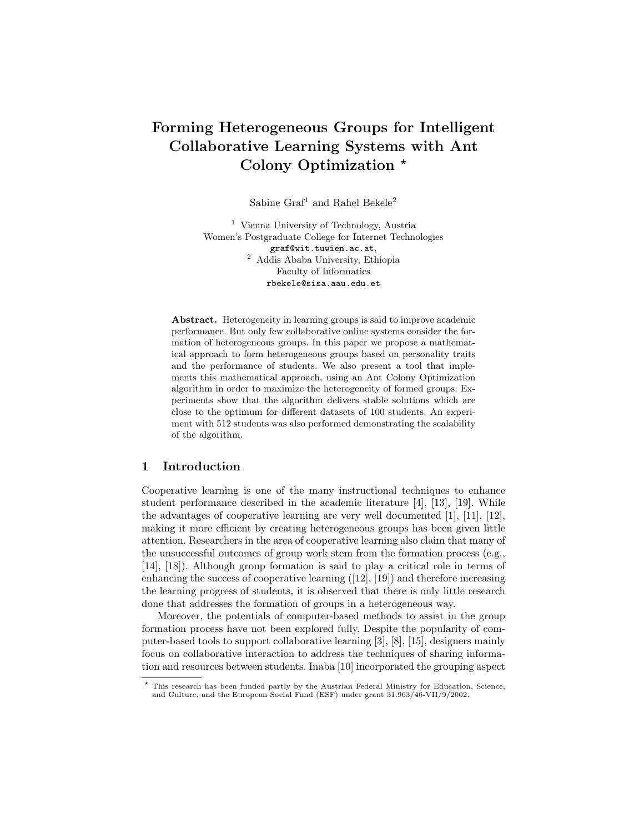# Forming Heterogeneous Groups for Intelligent Collaborative Learning Systems with Ant Colony Optimization \*

Sabine Graf<sup>1</sup> and Rahel Bekele<sup>2</sup>

<sup>1</sup> Vienna University of Technology, Austria Women's Postgraduate College for Internet Technologies graf@wit.tuwien.ac.at, <sup>2</sup> Addis Ababa University, Ethiopia Faculty of Informatics rbekele@sisa.aau.edu.et

Abstract. Heterogeneity in learning groups is said to improve academic performance. But only few collaborative online systems consider the formation of heterogeneous groups. In this paper we propose a mathematical approach to form heterogeneous groups based on personality traits and the performance of students. We also present a tool that implements this mathematical approach, using an Ant Colony Optimization algorithm in order to maximize the heterogeneity of formed groups. Experiments show that the algorithm delivers stable solutions which are close to the optimum for different datasets of 100 students. An experiment with 512 students was also performed demonstrating the scalability of the algorithm.

## 1 Introduction

Cooperative learning is one of the many instructional techniques to enhance student performance described in the academic literature [4], [13], [19]. While the advantages of cooperative learning are very well documented [1], [11], [12], making it more efficient by creating heterogeneous groups has been given little attention. Researchers in the area of cooperative learning also claim that many of the unsuccessful outcomes of group work stem from the formation process (e.g., [14], [18]). Although group formation is said to play a critical role in terms of enhancing the success of cooperative learning ([12], [19]) and therefore increasing the learning progress of students, it is observed that there is only little research done that addresses the formation of groups in a heterogeneous way.

Moreover, the potentials of computer-based methods to assist in the group formation process have not been explored fully. Despite the popularity of computer-based tools to support collaborative learning [3], [8], [15], designers mainly focus on collaborative interaction to address the techniques of sharing information and resources between students. Inaba [10] incorporated the grouping aspect

<sup>?</sup> This research has been funded partly by the Austrian Federal Ministry for Education, Science, and Culture, and the European Social Fund (ESF) under grant 31.963/46-VII/9/2002.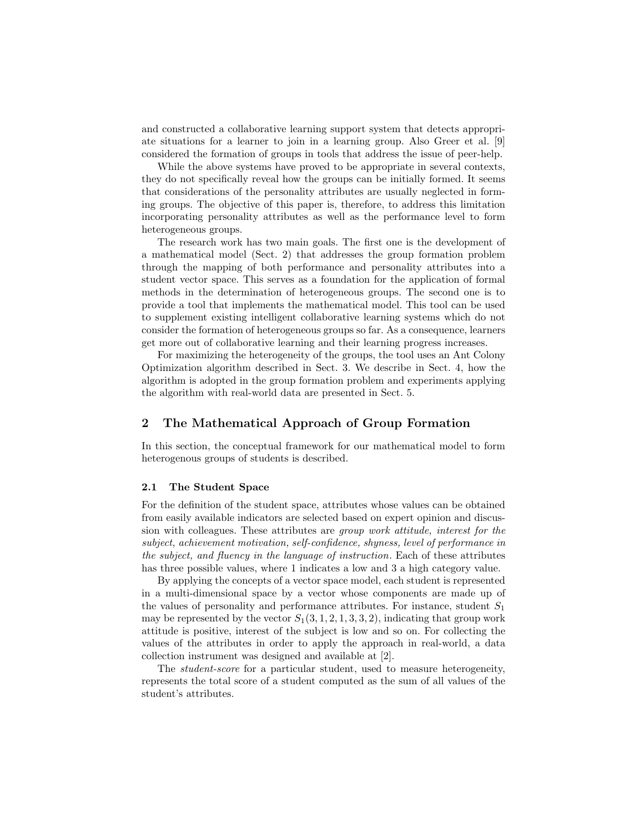and constructed a collaborative learning support system that detects appropriate situations for a learner to join in a learning group. Also Greer et al. [9] considered the formation of groups in tools that address the issue of peer-help.

While the above systems have proved to be appropriate in several contexts, they do not specifically reveal how the groups can be initially formed. It seems that considerations of the personality attributes are usually neglected in forming groups. The objective of this paper is, therefore, to address this limitation incorporating personality attributes as well as the performance level to form heterogeneous groups.

The research work has two main goals. The first one is the development of a mathematical model (Sect. 2) that addresses the group formation problem through the mapping of both performance and personality attributes into a student vector space. This serves as a foundation for the application of formal methods in the determination of heterogeneous groups. The second one is to provide a tool that implements the mathematical model. This tool can be used to supplement existing intelligent collaborative learning systems which do not consider the formation of heterogeneous groups so far. As a consequence, learners get more out of collaborative learning and their learning progress increases.

For maximizing the heterogeneity of the groups, the tool uses an Ant Colony Optimization algorithm described in Sect. 3. We describe in Sect. 4, how the algorithm is adopted in the group formation problem and experiments applying the algorithm with real-world data are presented in Sect. 5.

# 2 The Mathematical Approach of Group Formation

In this section, the conceptual framework for our mathematical model to form heterogenous groups of students is described.

#### 2.1 The Student Space

For the definition of the student space, attributes whose values can be obtained from easily available indicators are selected based on expert opinion and discussion with colleagues. These attributes are group work attitude, interest for the subject, achievement motivation, self-confidence, shyness, level of performance in the subject, and fluency in the language of instruction. Each of these attributes has three possible values, where 1 indicates a low and 3 a high category value.

By applying the concepts of a vector space model, each student is represented in a multi-dimensional space by a vector whose components are made up of the values of personality and performance attributes. For instance, student  $S_1$ may be represented by the vector  $S_1(3, 1, 2, 1, 3, 3, 2)$ , indicating that group work attitude is positive, interest of the subject is low and so on. For collecting the values of the attributes in order to apply the approach in real-world, a data collection instrument was designed and available at [2].

The student-score for a particular student, used to measure heterogeneity, represents the total score of a student computed as the sum of all values of the student's attributes.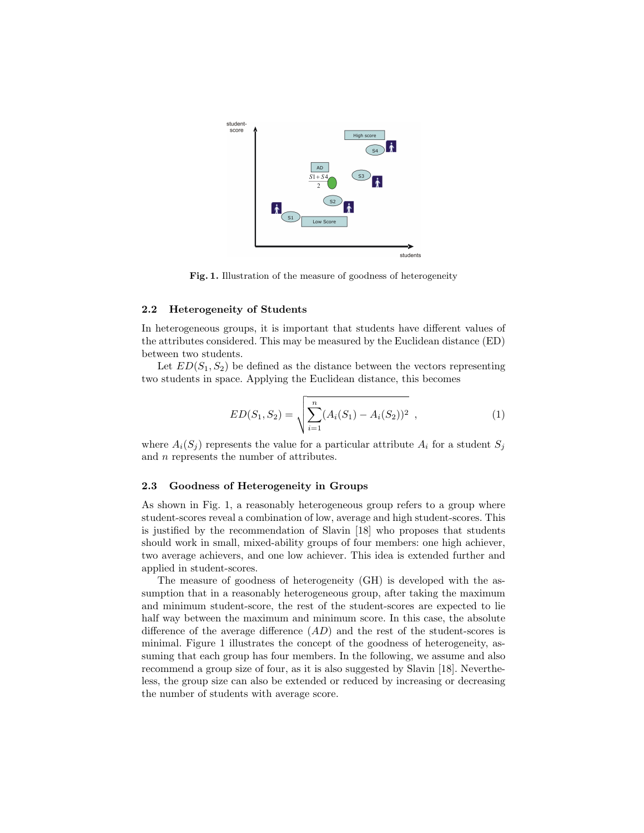

Fig. 1. Illustration of the measure of goodness of heterogeneity

#### 2.2 Heterogeneity of Students

In heterogeneous groups, it is important that students have different values of the attributes considered. This may be measured by the Euclidean distance (ED) between two students.

Let  $ED(S_1, S_2)$  be defined as the distance between the vectors representing two students in space. Applying the Euclidean distance, this becomes

$$
ED(S_1, S_2) = \sqrt{\sum_{i=1}^{n} (A_i(S_1) - A_i(S_2))^2},
$$
\n(1)

where  $A_i(S_j)$  represents the value for a particular attribute  $A_i$  for a student  $S_j$ and n represents the number of attributes.

#### 2.3 Goodness of Heterogeneity in Groups

As shown in Fig. 1, a reasonably heterogeneous group refers to a group where student-scores reveal a combination of low, average and high student-scores. This is justified by the recommendation of Slavin [18] who proposes that students should work in small, mixed-ability groups of four members: one high achiever, two average achievers, and one low achiever. This idea is extended further and applied in student-scores.

The measure of goodness of heterogeneity (GH) is developed with the assumption that in a reasonably heterogeneous group, after taking the maximum and minimum student-score, the rest of the student-scores are expected to lie half way between the maximum and minimum score. In this case, the absolute difference of the average difference  $(AD)$  and the rest of the student-scores is minimal. Figure 1 illustrates the concept of the goodness of heterogeneity, assuming that each group has four members. In the following, we assume and also recommend a group size of four, as it is also suggested by Slavin [18]. Nevertheless, the group size can also be extended or reduced by increasing or decreasing the number of students with average score.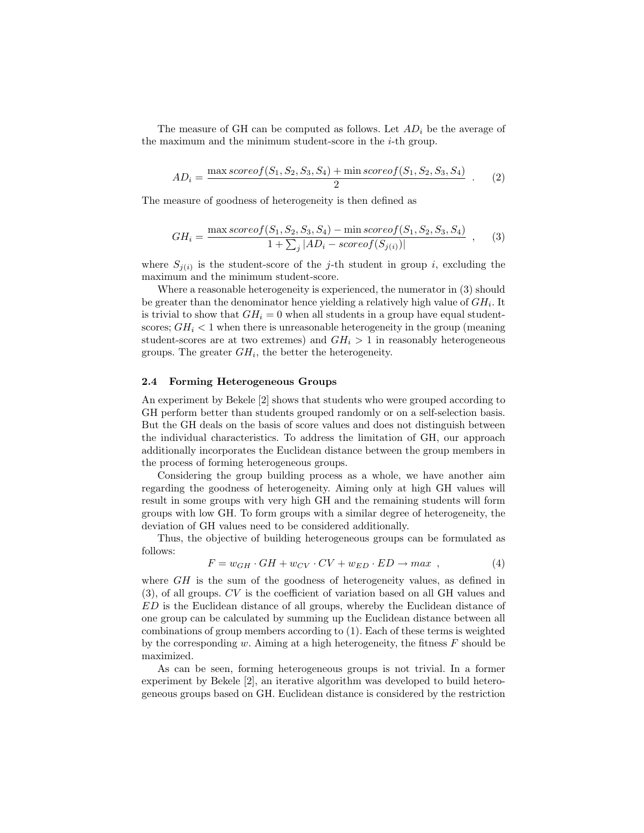The measure of GH can be computed as follows. Let  $AD_i$  be the average of the maximum and the minimum student-score in the  $i$ -th group.

$$
AD_i = \frac{\max scoreof(S_1, S_2, S_3, S_4) + \min scoreof(S_1, S_2, S_3, S_4)}{2}
$$
 (2)

The measure of goodness of heterogeneity is then defined as

$$
GH_i = \frac{\max scoreof(S_1, S_2, S_3, S_4) - \min scoreof(S_1, S_2, S_3, S_4)}{1 + \sum_j |AD_i - scoreof(S_{j(i)})|},
$$
(3)

where  $S_{j(i)}$  is the student-score of the j-th student in group i, excluding the maximum and the minimum student-score.

Where a reasonable heterogeneity is experienced, the numerator in (3) should be greater than the denominator hence yielding a relatively high value of  $GH_i$ . It is trivial to show that  $GH_i = 0$  when all students in a group have equal studentscores;  $GH_i < 1$  when there is unreasonable heterogeneity in the group (meaning student-scores are at two extremes) and  $GH_i > 1$  in reasonably heterogeneous groups. The greater  $GH_i$ , the better the heterogeneity.

### 2.4 Forming Heterogeneous Groups

An experiment by Bekele [2] shows that students who were grouped according to GH perform better than students grouped randomly or on a self-selection basis. But the GH deals on the basis of score values and does not distinguish between the individual characteristics. To address the limitation of GH, our approach additionally incorporates the Euclidean distance between the group members in the process of forming heterogeneous groups.

Considering the group building process as a whole, we have another aim regarding the goodness of heterogeneity. Aiming only at high GH values will result in some groups with very high GH and the remaining students will form groups with low GH. To form groups with a similar degree of heterogeneity, the deviation of GH values need to be considered additionally.

Thus, the objective of building heterogeneous groups can be formulated as follows:

$$
F = w_{GH} \cdot GH + w_{CV} \cdot CV + w_{ED} \cdot ED \rightarrow max , \qquad (4)
$$

where GH is the sum of the goodness of heterogeneity values, as defined in (3), of all groups. CV is the coefficient of variation based on all GH values and ED is the Euclidean distance of all groups, whereby the Euclidean distance of one group can be calculated by summing up the Euclidean distance between all combinations of group members according to (1). Each of these terms is weighted by the corresponding w. Aiming at a high heterogeneity, the fitness  $F$  should be maximized.

As can be seen, forming heterogeneous groups is not trivial. In a former experiment by Bekele [2], an iterative algorithm was developed to build heterogeneous groups based on GH. Euclidean distance is considered by the restriction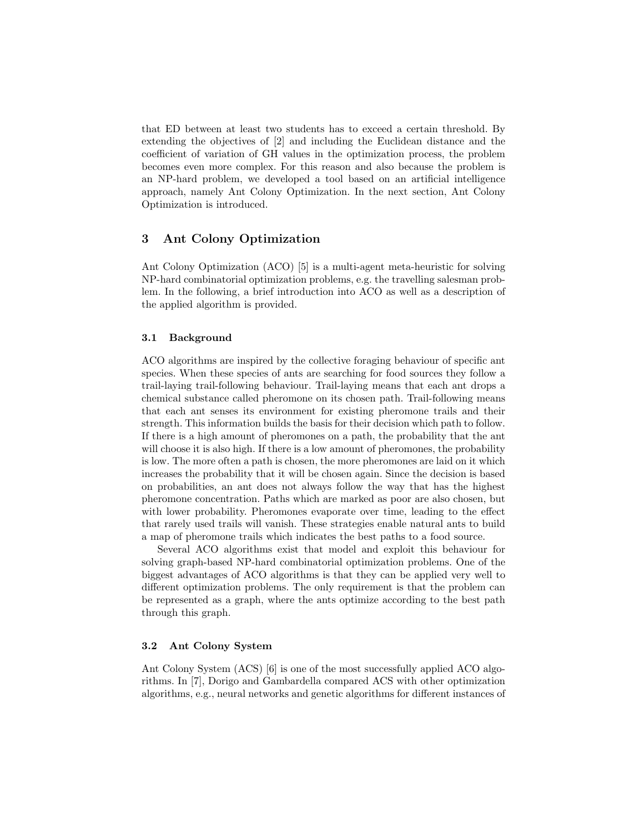that ED between at least two students has to exceed a certain threshold. By extending the objectives of [2] and including the Euclidean distance and the coefficient of variation of GH values in the optimization process, the problem becomes even more complex. For this reason and also because the problem is an NP-hard problem, we developed a tool based on an artificial intelligence approach, namely Ant Colony Optimization. In the next section, Ant Colony Optimization is introduced.

## 3 Ant Colony Optimization

Ant Colony Optimization (ACO) [5] is a multi-agent meta-heuristic for solving NP-hard combinatorial optimization problems, e.g. the travelling salesman problem. In the following, a brief introduction into ACO as well as a description of the applied algorithm is provided.

#### 3.1 Background

ACO algorithms are inspired by the collective foraging behaviour of specific ant species. When these species of ants are searching for food sources they follow a trail-laying trail-following behaviour. Trail-laying means that each ant drops a chemical substance called pheromone on its chosen path. Trail-following means that each ant senses its environment for existing pheromone trails and their strength. This information builds the basis for their decision which path to follow. If there is a high amount of pheromones on a path, the probability that the ant will choose it is also high. If there is a low amount of pheromones, the probability is low. The more often a path is chosen, the more pheromones are laid on it which increases the probability that it will be chosen again. Since the decision is based on probabilities, an ant does not always follow the way that has the highest pheromone concentration. Paths which are marked as poor are also chosen, but with lower probability. Pheromones evaporate over time, leading to the effect that rarely used trails will vanish. These strategies enable natural ants to build a map of pheromone trails which indicates the best paths to a food source.

Several ACO algorithms exist that model and exploit this behaviour for solving graph-based NP-hard combinatorial optimization problems. One of the biggest advantages of ACO algorithms is that they can be applied very well to different optimization problems. The only requirement is that the problem can be represented as a graph, where the ants optimize according to the best path through this graph.

#### 3.2 Ant Colony System

Ant Colony System (ACS) [6] is one of the most successfully applied ACO algorithms. In [7], Dorigo and Gambardella compared ACS with other optimization algorithms, e.g., neural networks and genetic algorithms for different instances of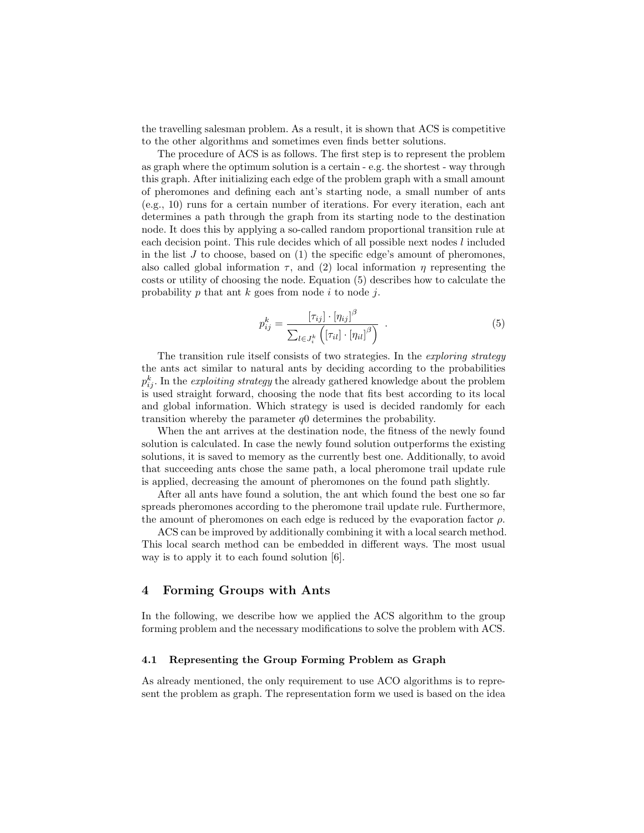the travelling salesman problem. As a result, it is shown that ACS is competitive to the other algorithms and sometimes even finds better solutions.

The procedure of ACS is as follows. The first step is to represent the problem as graph where the optimum solution is a certain - e.g. the shortest - way through this graph. After initializing each edge of the problem graph with a small amount of pheromones and defining each ant's starting node, a small number of ants (e.g., 10) runs for a certain number of iterations. For every iteration, each ant determines a path through the graph from its starting node to the destination node. It does this by applying a so-called random proportional transition rule at each decision point. This rule decides which of all possible next nodes l included in the list  $J$  to choose, based on  $(1)$  the specific edge's amount of pheromones, also called global information  $\tau$ , and (2) local information  $\eta$  representing the costs or utility of choosing the node. Equation (5) describes how to calculate the probability p that ant  $k$  goes from node  $i$  to node  $j$ .

$$
p_{ij}^k = \frac{[\tau_{ij}] \cdot [\eta_{ij}]^{\beta}}{\sum_{l \in J_i^k} \left( [\tau_{il}] \cdot [\eta_{il}]^{\beta} \right)} . \tag{5}
$$

The transition rule itself consists of two strategies. In the *exploring strategy* the ants act similar to natural ants by deciding according to the probabilities  $p_{ij}^k$ . In the *exploiting strategy* the already gathered knowledge about the problem is used straight forward, choosing the node that fits best according to its local and global information. Which strategy is used is decided randomly for each transition whereby the parameter q0 determines the probability.

When the ant arrives at the destination node, the fitness of the newly found solution is calculated. In case the newly found solution outperforms the existing solutions, it is saved to memory as the currently best one. Additionally, to avoid that succeeding ants chose the same path, a local pheromone trail update rule is applied, decreasing the amount of pheromones on the found path slightly.

After all ants have found a solution, the ant which found the best one so far spreads pheromones according to the pheromone trail update rule. Furthermore, the amount of pheromones on each edge is reduced by the evaporation factor  $\rho$ .

ACS can be improved by additionally combining it with a local search method. This local search method can be embedded in different ways. The most usual way is to apply it to each found solution [6].

## 4 Forming Groups with Ants

In the following, we describe how we applied the ACS algorithm to the group forming problem and the necessary modifications to solve the problem with ACS.

## 4.1 Representing the Group Forming Problem as Graph

As already mentioned, the only requirement to use ACO algorithms is to represent the problem as graph. The representation form we used is based on the idea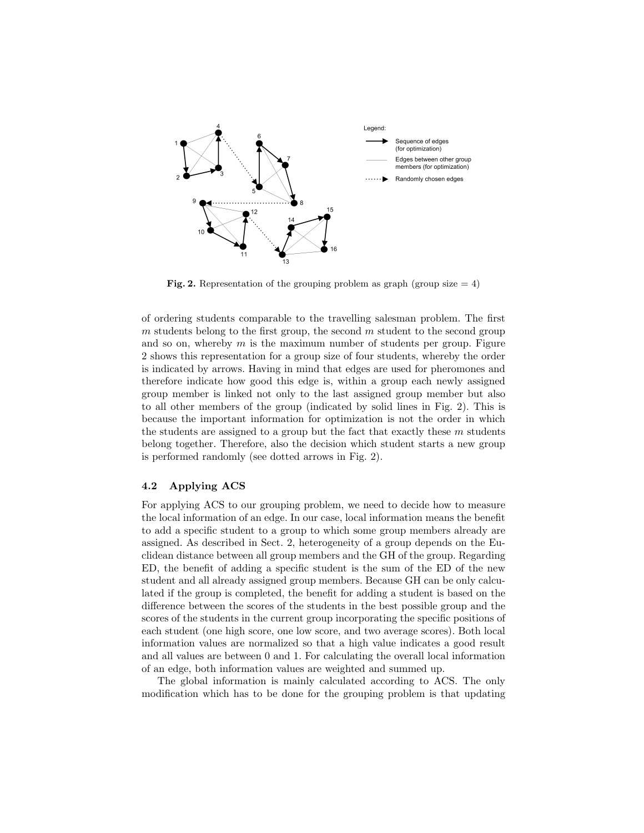

**Fig. 2.** Representation of the grouping problem as graph (group size  $= 4$ )

of ordering students comparable to the travelling salesman problem. The first  $m$  students belong to the first group, the second  $m$  student to the second group and so on, whereby  $m$  is the maximum number of students per group. Figure 2 shows this representation for a group size of four students, whereby the order is indicated by arrows. Having in mind that edges are used for pheromones and therefore indicate how good this edge is, within a group each newly assigned group member is linked not only to the last assigned group member but also to all other members of the group (indicated by solid lines in Fig. 2). This is because the important information for optimization is not the order in which the students are assigned to a group but the fact that exactly these  $m$  students belong together. Therefore, also the decision which student starts a new group is performed randomly (see dotted arrows in Fig. 2).

# 4.2 Applying ACS

For applying ACS to our grouping problem, we need to decide how to measure the local information of an edge. In our case, local information means the benefit to add a specific student to a group to which some group members already are assigned. As described in Sect. 2, heterogeneity of a group depends on the Euclidean distance between all group members and the GH of the group. Regarding ED, the benefit of adding a specific student is the sum of the ED of the new student and all already assigned group members. Because GH can be only calculated if the group is completed, the benefit for adding a student is based on the difference between the scores of the students in the best possible group and the scores of the students in the current group incorporating the specific positions of each student (one high score, one low score, and two average scores). Both local information values are normalized so that a high value indicates a good result and all values are between 0 and 1. For calculating the overall local information of an edge, both information values are weighted and summed up.

The global information is mainly calculated according to ACS. The only modification which has to be done for the grouping problem is that updating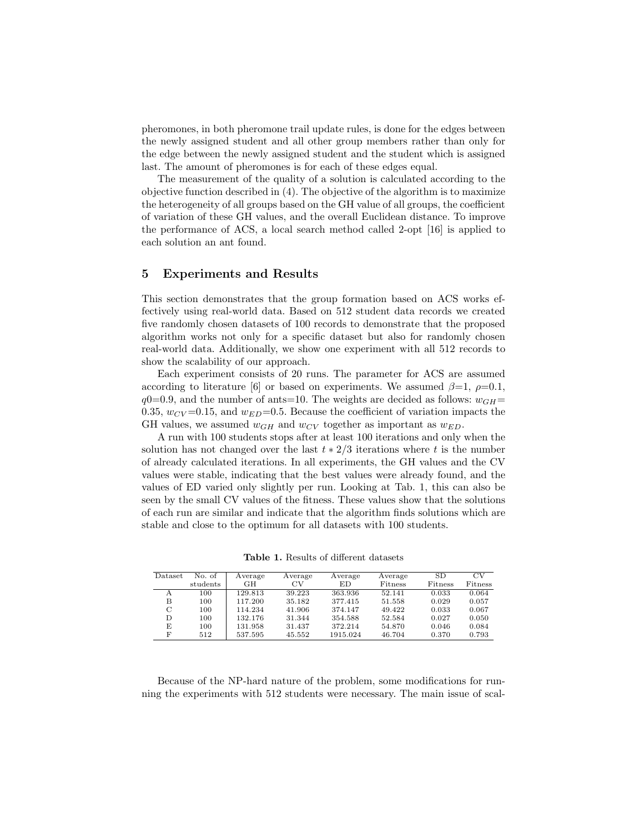pheromones, in both pheromone trail update rules, is done for the edges between the newly assigned student and all other group members rather than only for the edge between the newly assigned student and the student which is assigned last. The amount of pheromones is for each of these edges equal.

The measurement of the quality of a solution is calculated according to the objective function described in (4). The objective of the algorithm is to maximize the heterogeneity of all groups based on the GH value of all groups, the coefficient of variation of these GH values, and the overall Euclidean distance. To improve the performance of ACS, a local search method called 2-opt [16] is applied to each solution an ant found.

## 5 Experiments and Results

This section demonstrates that the group formation based on ACS works effectively using real-world data. Based on 512 student data records we created five randomly chosen datasets of 100 records to demonstrate that the proposed algorithm works not only for a specific dataset but also for randomly chosen real-world data. Additionally, we show one experiment with all 512 records to show the scalability of our approach.

Each experiment consists of 20 runs. The parameter for ACS are assumed according to literature [6] or based on experiments. We assumed  $\beta=1$ ,  $\rho=0.1$ ,  $q0=0.9$ , and the number of ants = 10. The weights are decided as follows:  $w_{GH}=$ 0.35,  $w_{CV}$ =0.15, and  $w_{ED}$ =0.5. Because the coefficient of variation impacts the GH values, we assumed  $w_{GH}$  and  $w_{CV}$  together as important as  $w_{ED}$ .

A run with 100 students stops after at least 100 iterations and only when the solution has not changed over the last  $t * 2/3$  iterations where t is the number of already calculated iterations. In all experiments, the GH values and the CV values were stable, indicating that the best values were already found, and the values of ED varied only slightly per run. Looking at Tab. 1, this can also be seen by the small CV values of the fitness. These values show that the solutions of each run are similar and indicate that the algorithm finds solutions which are stable and close to the optimum for all datasets with 100 students.

Table 1. Results of different datasets

| Dataset | No. of   | Average | Average | Average  | Average        | SD             | $_{\rm CV}$ |
|---------|----------|---------|---------|----------|----------------|----------------|-------------|
|         | students | GH.     | CV      | ED       | <b>Fitness</b> | <b>Fitness</b> | Fitness     |
| А       | 100      | 129.813 | 39.223  | 363.936  | 52.141         | 0.033          | 0.064       |
| B       | 100      | 117.200 | 35.182  | 377.415  | 51.558         | 0.029          | 0.057       |
| С       | 100      | 114.234 | 41.906  | 374.147  | 49.422         | 0.033          | 0.067       |
| D       | 100      | 132.176 | 31.344  | 354.588  | 52.584         | 0.027          | 0.050       |
| E       | 100      | 131.958 | 31.437  | 372.214  | 54.870         | 0.046          | 0.084       |
| F       | 512      | 537.595 | 45.552  | 1915.024 | 46.704         | 0.370          | 0.793       |

Because of the NP-hard nature of the problem, some modifications for running the experiments with 512 students were necessary. The main issue of scal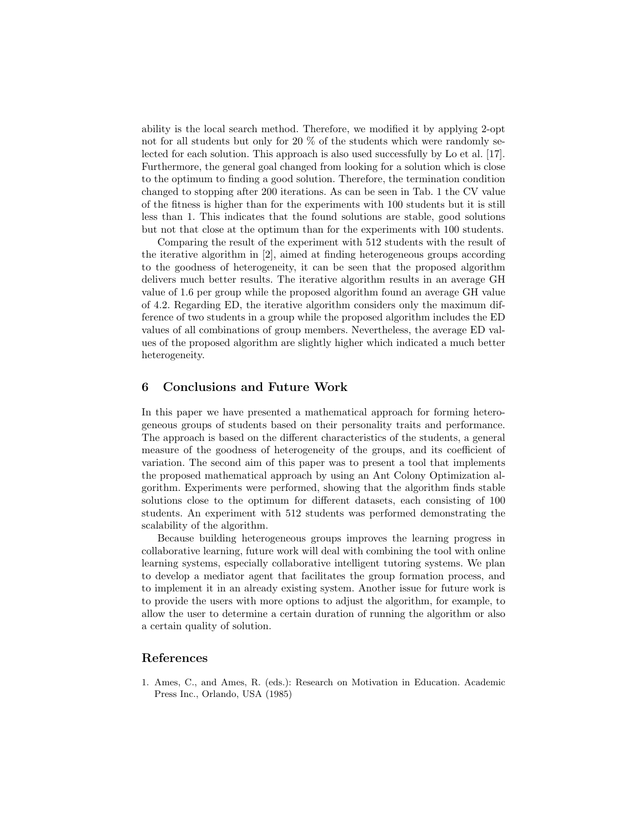ability is the local search method. Therefore, we modified it by applying 2-opt not for all students but only for 20 % of the students which were randomly selected for each solution. This approach is also used successfully by Lo et al. [17]. Furthermore, the general goal changed from looking for a solution which is close to the optimum to finding a good solution. Therefore, the termination condition changed to stopping after 200 iterations. As can be seen in Tab. 1 the CV value of the fitness is higher than for the experiments with 100 students but it is still less than 1. This indicates that the found solutions are stable, good solutions but not that close at the optimum than for the experiments with 100 students.

Comparing the result of the experiment with 512 students with the result of the iterative algorithm in [2], aimed at finding heterogeneous groups according to the goodness of heterogeneity, it can be seen that the proposed algorithm delivers much better results. The iterative algorithm results in an average GH value of 1.6 per group while the proposed algorithm found an average GH value of 4.2. Regarding ED, the iterative algorithm considers only the maximum difference of two students in a group while the proposed algorithm includes the ED values of all combinations of group members. Nevertheless, the average ED values of the proposed algorithm are slightly higher which indicated a much better heterogeneity.

## 6 Conclusions and Future Work

In this paper we have presented a mathematical approach for forming heterogeneous groups of students based on their personality traits and performance. The approach is based on the different characteristics of the students, a general measure of the goodness of heterogeneity of the groups, and its coefficient of variation. The second aim of this paper was to present a tool that implements the proposed mathematical approach by using an Ant Colony Optimization algorithm. Experiments were performed, showing that the algorithm finds stable solutions close to the optimum for different datasets, each consisting of 100 students. An experiment with 512 students was performed demonstrating the scalability of the algorithm.

Because building heterogeneous groups improves the learning progress in collaborative learning, future work will deal with combining the tool with online learning systems, especially collaborative intelligent tutoring systems. We plan to develop a mediator agent that facilitates the group formation process, and to implement it in an already existing system. Another issue for future work is to provide the users with more options to adjust the algorithm, for example, to allow the user to determine a certain duration of running the algorithm or also a certain quality of solution.

# References

1. Ames, C., and Ames, R. (eds.): Research on Motivation in Education. Academic Press Inc., Orlando, USA (1985)